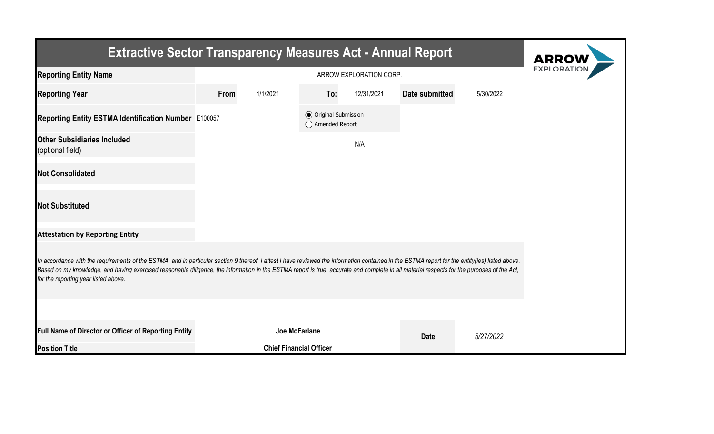| <b>Extractive Sector Transparency Measures Act - Annual Report</b>                                                                                                                                                                                                                                                                                                                                                                    | <b>ARROW</b>  |                                |                                                  |            |                |           |  |  |  |  |
|---------------------------------------------------------------------------------------------------------------------------------------------------------------------------------------------------------------------------------------------------------------------------------------------------------------------------------------------------------------------------------------------------------------------------------------|---------------|--------------------------------|--------------------------------------------------|------------|----------------|-----------|--|--|--|--|
| <b>Reporting Entity Name</b>                                                                                                                                                                                                                                                                                                                                                                                                          |               | <b>EXPLORATIO</b>              |                                                  |            |                |           |  |  |  |  |
| <b>Reporting Year</b>                                                                                                                                                                                                                                                                                                                                                                                                                 | From          | 1/1/2021                       | To:                                              | 12/31/2021 | Date submitted | 5/30/2022 |  |  |  |  |
| Reporting Entity ESTMA Identification Number E100057                                                                                                                                                                                                                                                                                                                                                                                  |               |                                | <b>◎</b> Original Submission<br>◯ Amended Report |            |                |           |  |  |  |  |
| <b>Other Subsidiaries Included</b><br>(optional field)                                                                                                                                                                                                                                                                                                                                                                                |               |                                |                                                  | N/A        |                |           |  |  |  |  |
| <b>Not Consolidated</b>                                                                                                                                                                                                                                                                                                                                                                                                               |               |                                |                                                  |            |                |           |  |  |  |  |
| <b>Not Substituted</b>                                                                                                                                                                                                                                                                                                                                                                                                                |               |                                |                                                  |            |                |           |  |  |  |  |
| <b>Attestation by Reporting Entity</b>                                                                                                                                                                                                                                                                                                                                                                                                |               |                                |                                                  |            |                |           |  |  |  |  |
| In accordance with the requirements of the ESTMA, and in particular section 9 thereof, I attest I have reviewed the information contained in the ESTMA report for the entity(ies) listed above.<br>Based on my knowledge, and having exercised reasonable diligence, the information in the ESTMA report is true, accurate and complete in all material respects for the purposes of the Act,<br>for the reporting year listed above. |               |                                |                                                  |            |                |           |  |  |  |  |
|                                                                                                                                                                                                                                                                                                                                                                                                                                       |               |                                |                                                  |            |                |           |  |  |  |  |
| Full Name of Director or Officer of Reporting Entity                                                                                                                                                                                                                                                                                                                                                                                  | Joe McFarlane |                                |                                                  |            | <b>Date</b>    | 5/27/2022 |  |  |  |  |
| <b>Position Title</b>                                                                                                                                                                                                                                                                                                                                                                                                                 |               | <b>Chief Financial Officer</b> |                                                  |            |                |           |  |  |  |  |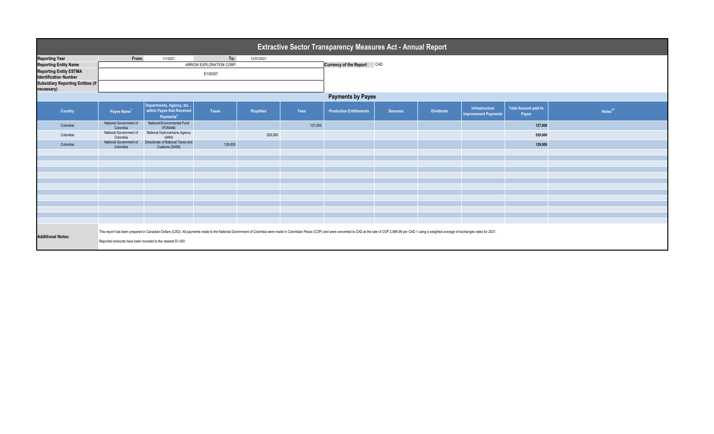| <b>Extractive Sector Transparency Measures Act - Annual Report</b> |                                                                                                                                                                                                                                                                                             |                                                                                 |                         |                  |         |                                |                |                  |                                               |                                      |                     |  |  |
|--------------------------------------------------------------------|---------------------------------------------------------------------------------------------------------------------------------------------------------------------------------------------------------------------------------------------------------------------------------------------|---------------------------------------------------------------------------------|-------------------------|------------------|---------|--------------------------------|----------------|------------------|-----------------------------------------------|--------------------------------------|---------------------|--|--|
| <b>Reporting Year</b>                                              | From:                                                                                                                                                                                                                                                                                       | 1/1/2021                                                                        | To:                     | 12/31/2021       |         |                                |                |                  |                                               |                                      |                     |  |  |
| <b>Reporting Entity Name</b>                                       |                                                                                                                                                                                                                                                                                             |                                                                                 | ARROW EXPLORATION CORP. |                  |         | Currency of the Report CAD     |                |                  |                                               |                                      |                     |  |  |
| <b>Reporting Entity ESTMA</b><br><b>Identification Number</b>      |                                                                                                                                                                                                                                                                                             |                                                                                 |                         |                  |         |                                |                |                  |                                               |                                      |                     |  |  |
| <b>Subsidiary Reporting Entities (if</b><br>necessary)             |                                                                                                                                                                                                                                                                                             |                                                                                 |                         |                  |         |                                |                |                  |                                               |                                      |                     |  |  |
|                                                                    | <b>Payments by Payee</b>                                                                                                                                                                                                                                                                    |                                                                                 |                         |                  |         |                                |                |                  |                                               |                                      |                     |  |  |
| Country                                                            | Payee Name <sup>1</sup>                                                                                                                                                                                                                                                                     | Departments, Agency, etc<br>within Payee that Received<br>Payments <sup>2</sup> | <b>Taxes</b>            | <b>Royalties</b> | Fees    | <b>Production Entitlements</b> | <b>Bonuses</b> | <b>Dividends</b> | Infrastructure<br><b>Improvement Payments</b> | <b>Total Amount paid to</b><br>Payee | Notes <sup>34</sup> |  |  |
| Colombia                                                           | National Government of<br>Colombia                                                                                                                                                                                                                                                          | National Environmental Fund<br>(FONAM)                                          |                         |                  | 127,000 |                                |                |                  |                                               | 127,000                              |                     |  |  |
| Colombia                                                           | National Government of<br>Colombia                                                                                                                                                                                                                                                          | National Hydrocarbons Agency<br>(ANH)                                           |                         | 529,000          |         |                                |                |                  |                                               | 529,000                              |                     |  |  |
| Colombia                                                           | National Government of<br>Colombia                                                                                                                                                                                                                                                          | Directorate of National Taxes and<br>Customs (DIAN)                             | 129,000                 |                  |         |                                |                |                  |                                               | 129,000                              |                     |  |  |
|                                                                    |                                                                                                                                                                                                                                                                                             |                                                                                 |                         |                  |         |                                |                |                  |                                               |                                      |                     |  |  |
|                                                                    |                                                                                                                                                                                                                                                                                             |                                                                                 |                         |                  |         |                                |                |                  |                                               |                                      |                     |  |  |
|                                                                    |                                                                                                                                                                                                                                                                                             |                                                                                 |                         |                  |         |                                |                |                  |                                               |                                      |                     |  |  |
|                                                                    |                                                                                                                                                                                                                                                                                             |                                                                                 |                         |                  |         |                                |                |                  |                                               |                                      |                     |  |  |
|                                                                    |                                                                                                                                                                                                                                                                                             |                                                                                 |                         |                  |         |                                |                |                  |                                               |                                      |                     |  |  |
|                                                                    |                                                                                                                                                                                                                                                                                             |                                                                                 |                         |                  |         |                                |                |                  |                                               |                                      |                     |  |  |
|                                                                    |                                                                                                                                                                                                                                                                                             |                                                                                 |                         |                  |         |                                |                |                  |                                               |                                      |                     |  |  |
|                                                                    |                                                                                                                                                                                                                                                                                             |                                                                                 |                         |                  |         |                                |                |                  |                                               |                                      |                     |  |  |
|                                                                    |                                                                                                                                                                                                                                                                                             |                                                                                 |                         |                  |         |                                |                |                  |                                               |                                      |                     |  |  |
|                                                                    |                                                                                                                                                                                                                                                                                             |                                                                                 |                         |                  |         |                                |                |                  |                                               |                                      |                     |  |  |
| <b>Additional Notes:</b>                                           | This report has been prepared in Canadian Dollars (CAD). All payments made to the National Government of Colombia were made in Colombian Pesos (COP) and were converted to CAD at the rate of COP 2,986.99 per CAD 1 using a w<br>Reported amounts have been rounded to the nearest \$1,000 |                                                                                 |                         |                  |         |                                |                |                  |                                               |                                      |                     |  |  |
|                                                                    |                                                                                                                                                                                                                                                                                             |                                                                                 |                         |                  |         |                                |                |                  |                                               |                                      |                     |  |  |